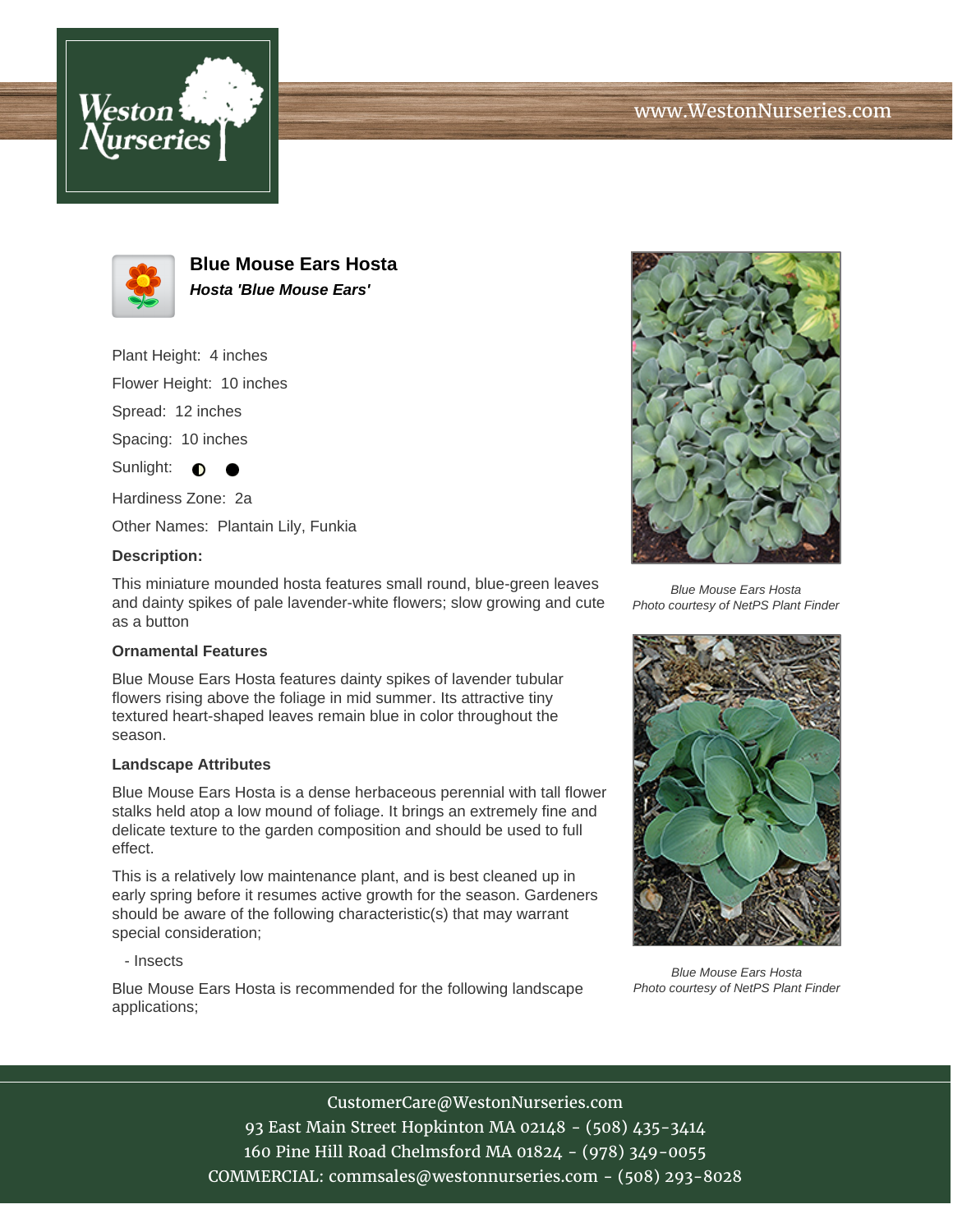





**Blue Mouse Ears Hosta Hosta 'Blue Mouse Ears'**

Plant Height: 4 inches

Flower Height: 10 inches

Spread: 12 inches

Spacing: 10 inches

Sunlight:  $\bullet$ 

Hardiness Zone: 2a

Other Names: Plantain Lily, Funkia

### **Description:**

This miniature mounded hosta features small round, blue-green leaves and dainty spikes of pale lavender-white flowers; slow growing and cute as a button

## **Ornamental Features**

Blue Mouse Ears Hosta features dainty spikes of lavender tubular flowers rising above the foliage in mid summer. Its attractive tiny textured heart-shaped leaves remain blue in color throughout the season.

#### **Landscape Attributes**

Blue Mouse Ears Hosta is a dense herbaceous perennial with tall flower stalks held atop a low mound of foliage. It brings an extremely fine and delicate texture to the garden composition and should be used to full effect.

This is a relatively low maintenance plant, and is best cleaned up in early spring before it resumes active growth for the season. Gardeners should be aware of the following characteristic(s) that may warrant special consideration;

#### - Insects

Blue Mouse Ears Hosta is recommended for the following landscape applications;



Blue Mouse Ears Hosta Photo courtesy of NetPS Plant Finder



Blue Mouse Ears Hosta Photo courtesy of NetPS Plant Finder

CustomerCare@WestonNurseries.com

93 East Main Street Hopkinton MA 02148 - (508) 435-3414 160 Pine Hill Road Chelmsford MA 01824 - (978) 349-0055 COMMERCIAL: commsales@westonnurseries.com - (508) 293-8028